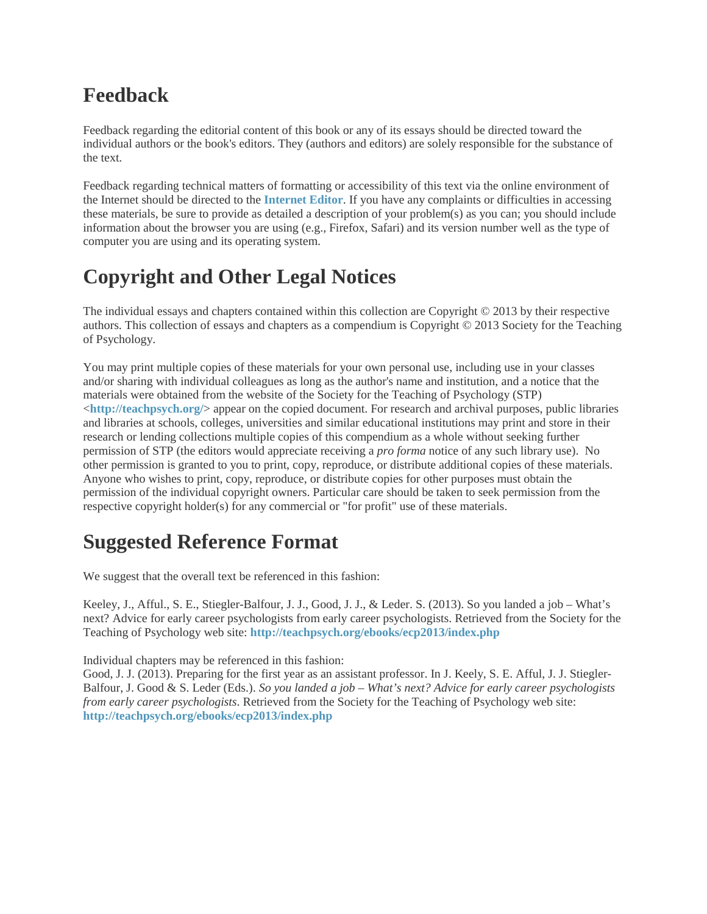# **Feedback**

Feedback regarding the editorial content of this book or any of its essays should be directed toward the individual authors or the book's editors. They (authors and editors) are solely responsible for the substance of the text.

Feedback regarding technical matters of formatting or accessibility of this text via the online environment of the Internet should be directed to the **[Internet Editor](mailto:ie@teachpsych.org)**. If you have any complaints or difficulties in accessing these materials, be sure to provide as detailed a description of your problem(s) as you can; you should include information about the browser you are using (e.g., Firefox, Safari) and its version number well as the type of computer you are using and its operating system.

# **Copyright and Other Legal Notices**

The individual essays and chapters contained within this collection are Copyright © 2013 by their respective authors. This collection of essays and chapters as a compendium is Copyright © 2013 Society for the Teaching of Psychology.

You may print multiple copies of these materials for your own personal use, including use in your classes and/or sharing with individual colleagues as long as the author's name and institution, and a notice that the materials were obtained from the website of the Society for the Teaching of Psychology (STP) <**<http://teachpsych.org/>**> appear on the copied document. For research and archival purposes, public libraries and libraries at schools, colleges, universities and similar educational institutions may print and store in their research or lending collections multiple copies of this compendium as a whole without seeking further permission of STP (the editors would appreciate receiving a *pro forma* notice of any such library use). No other permission is granted to you to print, copy, reproduce, or distribute additional copies of these materials. Anyone who wishes to print, copy, reproduce, or distribute copies for other purposes must obtain the permission of the individual copyright owners. Particular care should be taken to seek permission from the respective copyright holder(s) for any commercial or "for profit" use of these materials.

# **Suggested Reference Format**

We suggest that the overall text be referenced in this fashion:

Keeley, J., Afful., S. E., Stiegler-Balfour, J. J., Good, J. J., & Leder. S. (2013). So you landed a job – What's next? Advice for early career psychologists from early career psychologists. Retrieved from the Society for the Teaching of Psychology web site: **<http://teachpsych.org/ebooks/ecp2013/index.php>**

Individual chapters may be referenced in this fashion:

Good, J. J. (2013). Preparing for the first year as an assistant professor. In J. Keely, S. E. Afful, J. J. Stiegler-Balfour, J. Good & S. Leder (Eds.). *So you landed a job – What's next? Advice for early career psychologists from early career psychologists*. Retrieved from the Society for the Teaching of Psychology web site: **<http://teachpsych.org/ebooks/ecp2013/index.php>**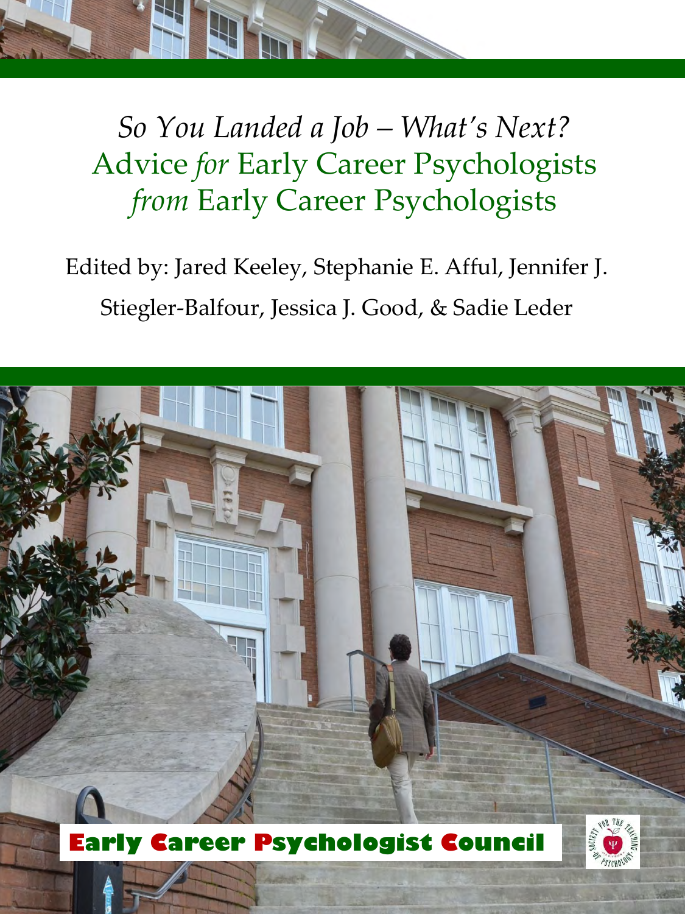

*So You Landed a Job – What's Next?* Advice *for* Early Career Psychologists *from* Early Career Psychologists

Edited by: Jared Keeley, Stephanie E. Afful, Jennifer J. Stiegler-Balfour, Jessica J. Good, & Sadie Leder

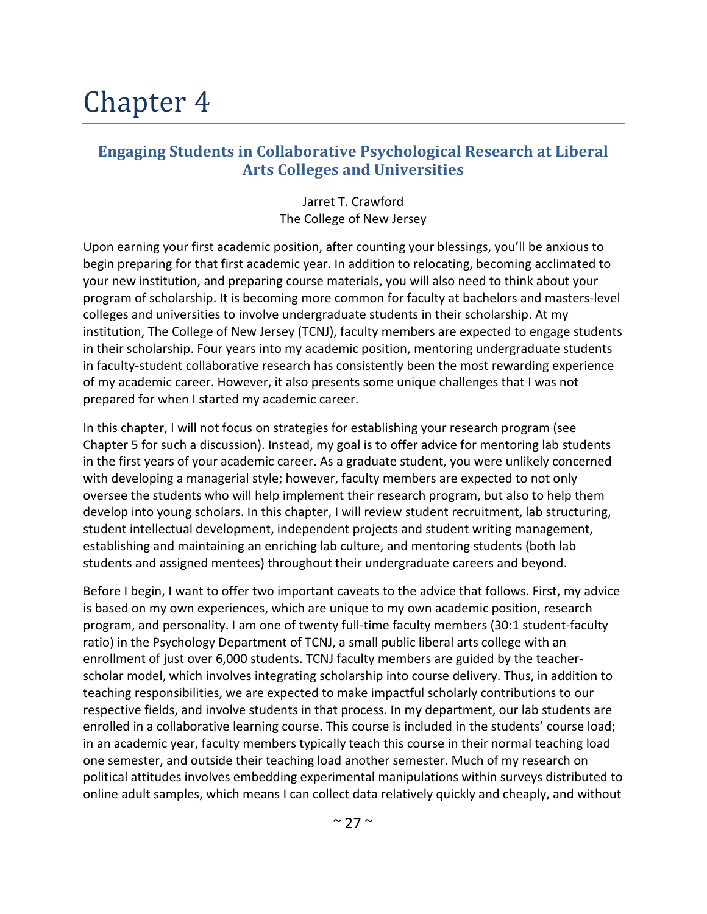# Chapter 4

#### **Engaging Students in Collaborative Psychological Research at Liberal Arts Colleges and Universities**

Jarret T. Crawford The College of New Jersey

Upon earning your first academic position, after counting your blessings, you'll be anxious to begin preparing for that first academic year. In addition to relocating, becoming acclimated to your new institution, and preparing course materials, you will also need to think about your program of scholarship. It is becoming more common for faculty at bachelors and masters-level colleges and universities to involve undergraduate students in their scholarship. At my institution, The College of New Jersey (TCNJ), faculty members are expected to engage students in their scholarship. Four years into my academic position, mentoring undergraduate students in faculty-student collaborative research has consistently been the most rewarding experience of my academic career. However, it also presents some unique challenges that I was not prepared for when I started my academic career.

In this chapter, I will not focus on strategies for establishing your research program (see Chapter 5 for such a discussion). Instead, my goal is to offer advice for mentoring lab students in the first years of your academic career. As a graduate student, you were unlikely concerned with developing a managerial style; however, faculty members are expected to not only oversee the students who will help implement their research program, but also to help them develop into young scholars. In this chapter, I will review student recruitment, lab structuring, student intellectual development, independent projects and student writing management, establishing and maintaining an enriching lab culture, and mentoring students (both lab students and assigned mentees) throughout their undergraduate careers and beyond.

Before I begin, I want to offer two important caveats to the advice that follows. First, my advice is based on my own experiences, which are unique to my own academic position, research program, and personality. I am one of twenty full-time faculty members (30:1 student-faculty ratio) in the Psychology Department of TCNJ, a small public liberal arts college with an enrollment of just over 6,000 students. TCNJ faculty members are guided by the teacherscholar model, which involves integrating scholarship into course delivery. Thus, in addition to teaching responsibilities, we are expected to make impactful scholarly contributions to our respective fields, and involve students in that process. In my department, our lab students are enrolled in a collaborative learning course. This course is included in the students' course load; in an academic year, faculty members typically teach this course in their normal teaching load one semester, and outside their teaching load another semester. Much of my research on political attitudes involves embedding experimental manipulations within surveys distributed to online adult samples, which means I can collect data relatively quickly and cheaply, and without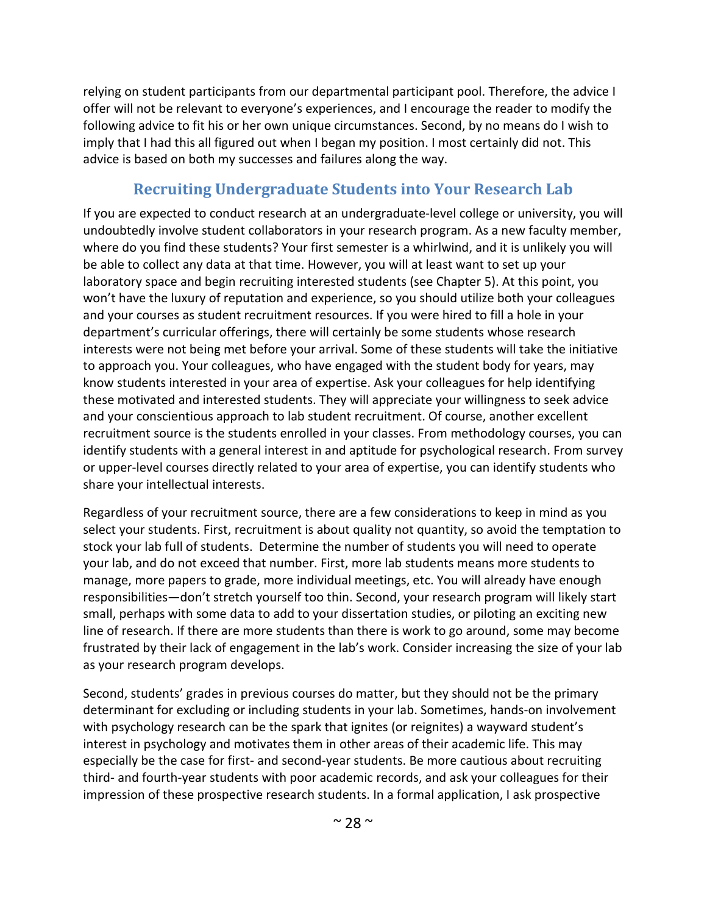relying on student participants from our departmental participant pool. Therefore, the advice I offer will not be relevant to everyone's experiences, and I encourage the reader to modify the following advice to fit his or her own unique circumstances. Second, by no means do I wish to imply that I had this all figured out when I began my position. I most certainly did not. This advice is based on both my successes and failures along the way.

# **Recruiting Undergraduate Students into Your Research Lab**

If you are expected to conduct research at an undergraduate-level college or university, you will undoubtedly involve student collaborators in your research program. As a new faculty member, where do you find these students? Your first semester is a whirlwind, and it is unlikely you will be able to collect any data at that time. However, you will at least want to set up your laboratory space and begin recruiting interested students (see Chapter 5). At this point, you won't have the luxury of reputation and experience, so you should utilize both your colleagues and your courses as student recruitment resources. If you were hired to fill a hole in your department's curricular offerings, there will certainly be some students whose research interests were not being met before your arrival. Some of these students will take the initiative to approach you. Your colleagues, who have engaged with the student body for years, may know students interested in your area of expertise. Ask your colleagues for help identifying these motivated and interested students. They will appreciate your willingness to seek advice and your conscientious approach to lab student recruitment. Of course, another excellent recruitment source is the students enrolled in your classes. From methodology courses, you can identify students with a general interest in and aptitude for psychological research. From survey or upper-level courses directly related to your area of expertise, you can identify students who share your intellectual interests.

Regardless of your recruitment source, there are a few considerations to keep in mind as you select your students. First, recruitment is about quality not quantity, so avoid the temptation to stock your lab full of students. Determine the number of students you will need to operate your lab, and do not exceed that number. First, more lab students means more students to manage, more papers to grade, more individual meetings, etc. You will already have enough responsibilities—don't stretch yourself too thin. Second, your research program will likely start small, perhaps with some data to add to your dissertation studies, or piloting an exciting new line of research. If there are more students than there is work to go around, some may become frustrated by their lack of engagement in the lab's work. Consider increasing the size of your lab as your research program develops.

Second, students' grades in previous courses do matter, but they should not be the primary determinant for excluding or including students in your lab. Sometimes, hands-on involvement with psychology research can be the spark that ignites (or reignites) a wayward student's interest in psychology and motivates them in other areas of their academic life. This may especially be the case for first- and second-year students. Be more cautious about recruiting third- and fourth-year students with poor academic records, and ask your colleagues for their impression of these prospective research students. In a formal application, I ask prospective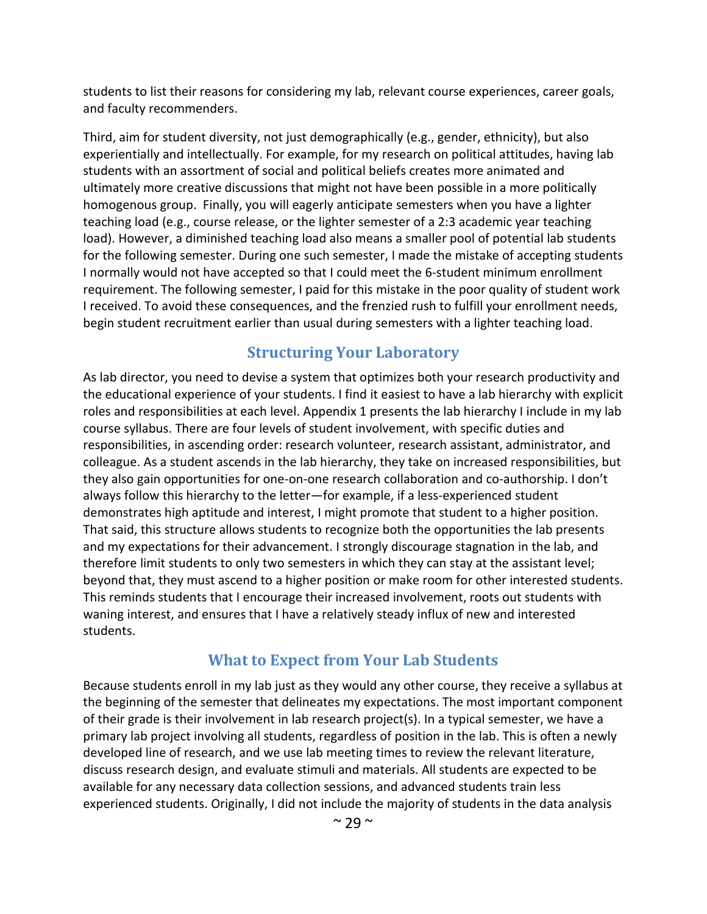students to list their reasons for considering my lab, relevant course experiences, career goals, and faculty recommenders.

Third, aim for student diversity, not just demographically (e.g., gender, ethnicity), but also experientially and intellectually. For example, for my research on political attitudes, having lab students with an assortment of social and political beliefs creates more animated and ultimately more creative discussions that might not have been possible in a more politically homogenous group. Finally, you will eagerly anticipate semesters when you have a lighter teaching load (e.g., course release, or the lighter semester of a 2:3 academic year teaching load). However, a diminished teaching load also means a smaller pool of potential lab students for the following semester. During one such semester, I made the mistake of accepting students I normally would not have accepted so that I could meet the 6-student minimum enrollment requirement. The following semester, I paid for this mistake in the poor quality of student work I received. To avoid these consequences, and the frenzied rush to fulfill your enrollment needs, begin student recruitment earlier than usual during semesters with a lighter teaching load.

## **Structuring Your Laboratory**

As lab director, you need to devise a system that optimizes both your research productivity and the educational experience of your students. I find it easiest to have a lab hierarchy with explicit roles and responsibilities at each level. Appendix 1 presents the lab hierarchy I include in my lab course syllabus. There are four levels of student involvement, with specific duties and responsibilities, in ascending order: research volunteer, research assistant, administrator, and colleague. As a student ascends in the lab hierarchy, they take on increased responsibilities, but they also gain opportunities for one-on-one research collaboration and co-authorship. I don't always follow this hierarchy to the letter—for example, if a less-experienced student demonstrates high aptitude and interest, I might promote that student to a higher position. That said, this structure allows students to recognize both the opportunities the lab presents and my expectations for their advancement. I strongly discourage stagnation in the lab, and therefore limit students to only two semesters in which they can stay at the assistant level; beyond that, they must ascend to a higher position or make room for other interested students. This reminds students that I encourage their increased involvement, roots out students with waning interest, and ensures that I have a relatively steady influx of new and interested students.

#### **What to Expect from Your Lab Students**

Because students enroll in my lab just as they would any other course, they receive a syllabus at the beginning of the semester that delineates my expectations. The most important component of their grade is their involvement in lab research project(s). In a typical semester, we have a primary lab project involving all students, regardless of position in the lab. This is often a newly developed line of research, and we use lab meeting times to review the relevant literature, discuss research design, and evaluate stimuli and materials. All students are expected to be available for any necessary data collection sessions, and advanced students train less experienced students. Originally, I did not include the majority of students in the data analysis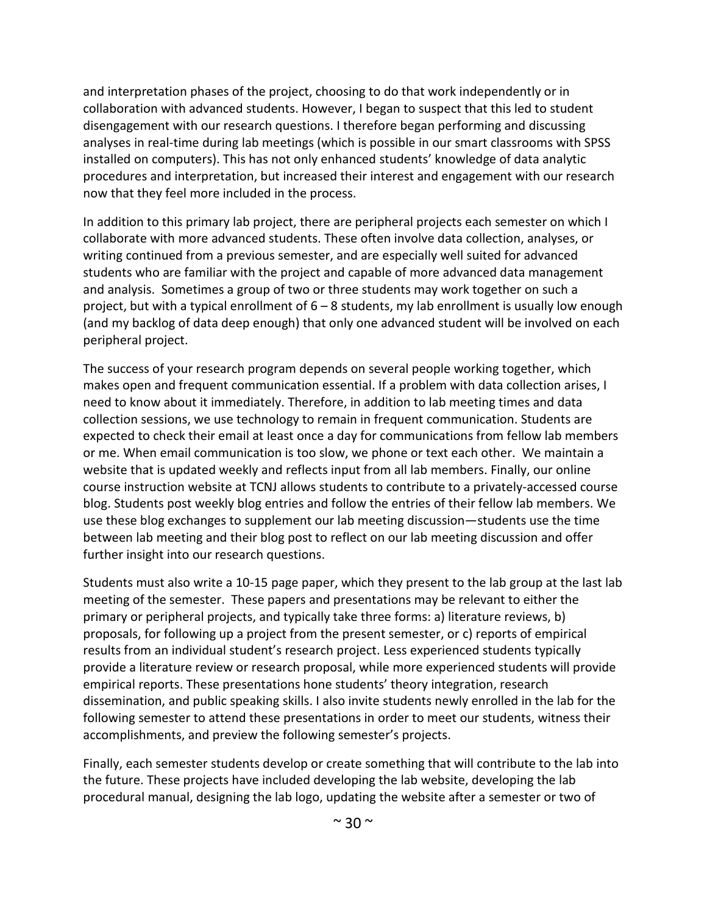and interpretation phases of the project, choosing to do that work independently or in collaboration with advanced students. However, I began to suspect that this led to student disengagement with our research questions. I therefore began performing and discussing analyses in real-time during lab meetings (which is possible in our smart classrooms with SPSS installed on computers). This has not only enhanced students' knowledge of data analytic procedures and interpretation, but increased their interest and engagement with our research now that they feel more included in the process.

In addition to this primary lab project, there are peripheral projects each semester on which I collaborate with more advanced students. These often involve data collection, analyses, or writing continued from a previous semester, and are especially well suited for advanced students who are familiar with the project and capable of more advanced data management and analysis. Sometimes a group of two or three students may work together on such a project, but with a typical enrollment of  $6 - 8$  students, my lab enrollment is usually low enough (and my backlog of data deep enough) that only one advanced student will be involved on each peripheral project.

The success of your research program depends on several people working together, which makes open and frequent communication essential. If a problem with data collection arises, I need to know about it immediately. Therefore, in addition to lab meeting times and data collection sessions, we use technology to remain in frequent communication. Students are expected to check their email at least once a day for communications from fellow lab members or me. When email communication is too slow, we phone or text each other. We maintain a website that is updated weekly and reflects input from all lab members. Finally, our online course instruction website at TCNJ allows students to contribute to a privately-accessed course blog. Students post weekly blog entries and follow the entries of their fellow lab members. We use these blog exchanges to supplement our lab meeting discussion—students use the time between lab meeting and their blog post to reflect on our lab meeting discussion and offer further insight into our research questions.

Students must also write a 10-15 page paper, which they present to the lab group at the last lab meeting of the semester. These papers and presentations may be relevant to either the primary or peripheral projects, and typically take three forms: a) literature reviews, b) proposals, for following up a project from the present semester, or c) reports of empirical results from an individual student's research project. Less experienced students typically provide a literature review or research proposal, while more experienced students will provide empirical reports. These presentations hone students' theory integration, research dissemination, and public speaking skills. I also invite students newly enrolled in the lab for the following semester to attend these presentations in order to meet our students, witness their accomplishments, and preview the following semester's projects.

Finally, each semester students develop or create something that will contribute to the lab into the future. These projects have included developing the lab website, developing the lab procedural manual, designing the lab logo, updating the website after a semester or two of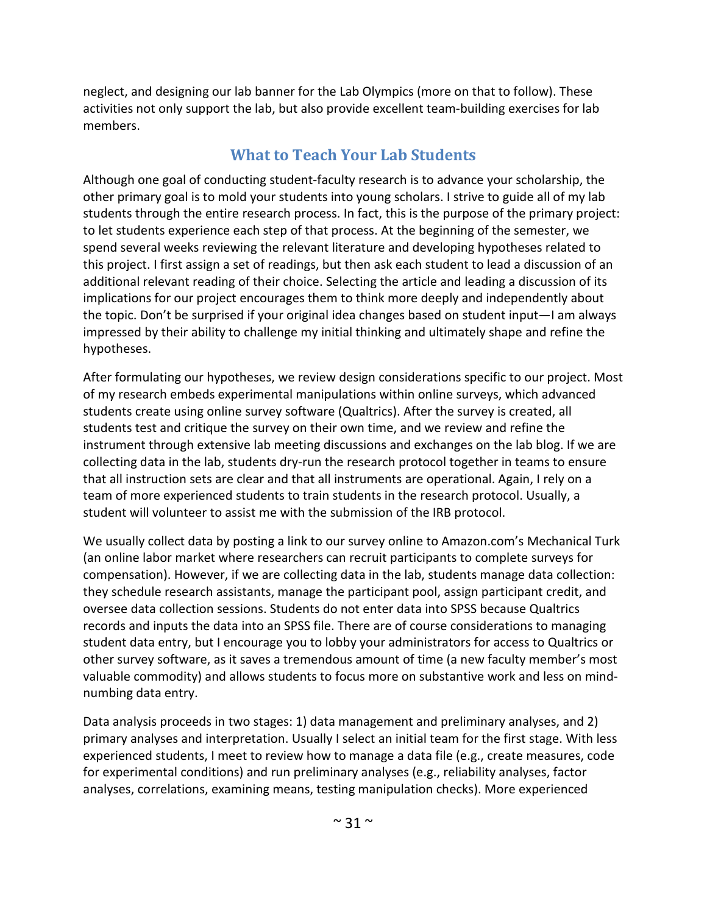neglect, and designing our lab banner for the Lab Olympics (more on that to follow). These activities not only support the lab, but also provide excellent team-building exercises for lab members.

## **What to Teach Your Lab Students**

Although one goal of conducting student-faculty research is to advance your scholarship, the other primary goal is to mold your students into young scholars. I strive to guide all of my lab students through the entire research process. In fact, this is the purpose of the primary project: to let students experience each step of that process. At the beginning of the semester, we spend several weeks reviewing the relevant literature and developing hypotheses related to this project. I first assign a set of readings, but then ask each student to lead a discussion of an additional relevant reading of their choice. Selecting the article and leading a discussion of its implications for our project encourages them to think more deeply and independently about the topic. Don't be surprised if your original idea changes based on student input—I am always impressed by their ability to challenge my initial thinking and ultimately shape and refine the hypotheses.

After formulating our hypotheses, we review design considerations specific to our project. Most of my research embeds experimental manipulations within online surveys, which advanced students create using online survey software (Qualtrics). After the survey is created, all students test and critique the survey on their own time, and we review and refine the instrument through extensive lab meeting discussions and exchanges on the lab blog. If we are collecting data in the lab, students dry-run the research protocol together in teams to ensure that all instruction sets are clear and that all instruments are operational. Again, I rely on a team of more experienced students to train students in the research protocol. Usually, a student will volunteer to assist me with the submission of the IRB protocol.

We usually collect data by posting a link to our survey online to Amazon.com's Mechanical Turk (an online labor market where researchers can recruit participants to complete surveys for compensation). However, if we are collecting data in the lab, students manage data collection: they schedule research assistants, manage the participant pool, assign participant credit, and oversee data collection sessions. Students do not enter data into SPSS because Qualtrics records and inputs the data into an SPSS file. There are of course considerations to managing student data entry, but I encourage you to lobby your administrators for access to Qualtrics or other survey software, as it saves a tremendous amount of time (a new faculty member's most valuable commodity) and allows students to focus more on substantive work and less on mindnumbing data entry.

Data analysis proceeds in two stages: 1) data management and preliminary analyses, and 2) primary analyses and interpretation. Usually I select an initial team for the first stage. With less experienced students, I meet to review how to manage a data file (e.g., create measures, code for experimental conditions) and run preliminary analyses (e.g., reliability analyses, factor analyses, correlations, examining means, testing manipulation checks). More experienced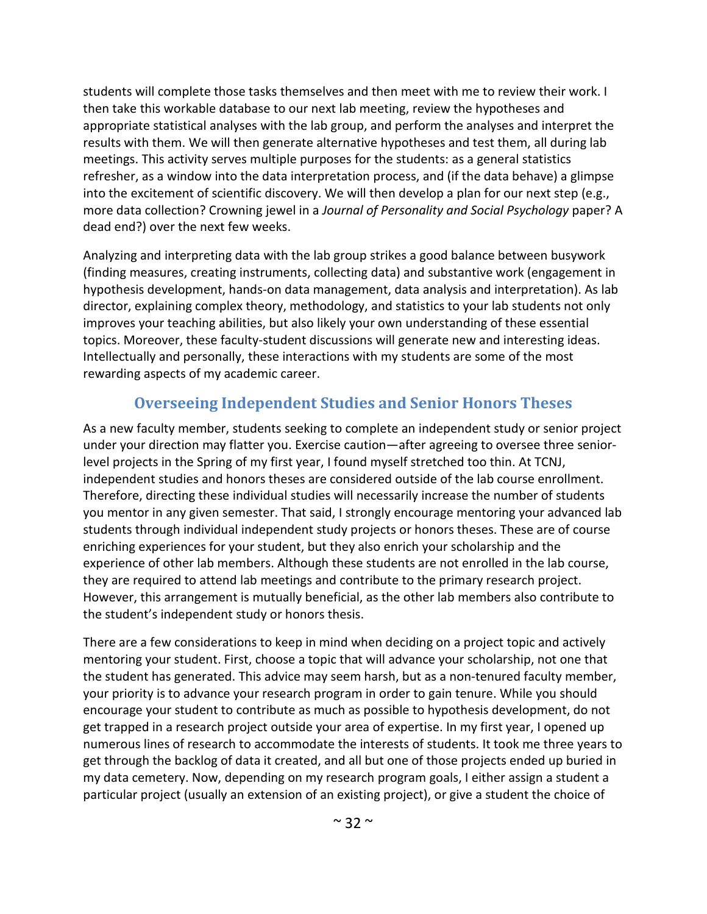students will complete those tasks themselves and then meet with me to review their work. I then take this workable database to our next lab meeting, review the hypotheses and appropriate statistical analyses with the lab group, and perform the analyses and interpret the results with them. We will then generate alternative hypotheses and test them, all during lab meetings. This activity serves multiple purposes for the students: as a general statistics refresher, as a window into the data interpretation process, and (if the data behave) a glimpse into the excitement of scientific discovery. We will then develop a plan for our next step (e.g., more data collection? Crowning jewel in a *Journal of Personality and Social Psychology* paper? A dead end?) over the next few weeks.

Analyzing and interpreting data with the lab group strikes a good balance between busywork (finding measures, creating instruments, collecting data) and substantive work (engagement in hypothesis development, hands-on data management, data analysis and interpretation). As lab director, explaining complex theory, methodology, and statistics to your lab students not only improves your teaching abilities, but also likely your own understanding of these essential topics. Moreover, these faculty-student discussions will generate new and interesting ideas. Intellectually and personally, these interactions with my students are some of the most rewarding aspects of my academic career.

#### **Overseeing Independent Studies and Senior Honors Theses**

As a new faculty member, students seeking to complete an independent study or senior project under your direction may flatter you. Exercise caution—after agreeing to oversee three seniorlevel projects in the Spring of my first year, I found myself stretched too thin. At TCNJ, independent studies and honors theses are considered outside of the lab course enrollment. Therefore, directing these individual studies will necessarily increase the number of students you mentor in any given semester. That said, I strongly encourage mentoring your advanced lab students through individual independent study projects or honors theses. These are of course enriching experiences for your student, but they also enrich your scholarship and the experience of other lab members. Although these students are not enrolled in the lab course, they are required to attend lab meetings and contribute to the primary research project. However, this arrangement is mutually beneficial, as the other lab members also contribute to the student's independent study or honors thesis.

There are a few considerations to keep in mind when deciding on a project topic and actively mentoring your student. First, choose a topic that will advance your scholarship, not one that the student has generated. This advice may seem harsh, but as a non-tenured faculty member, your priority is to advance your research program in order to gain tenure. While you should encourage your student to contribute as much as possible to hypothesis development, do not get trapped in a research project outside your area of expertise. In my first year, I opened up numerous lines of research to accommodate the interests of students. It took me three years to get through the backlog of data it created, and all but one of those projects ended up buried in my data cemetery. Now, depending on my research program goals, I either assign a student a particular project (usually an extension of an existing project), or give a student the choice of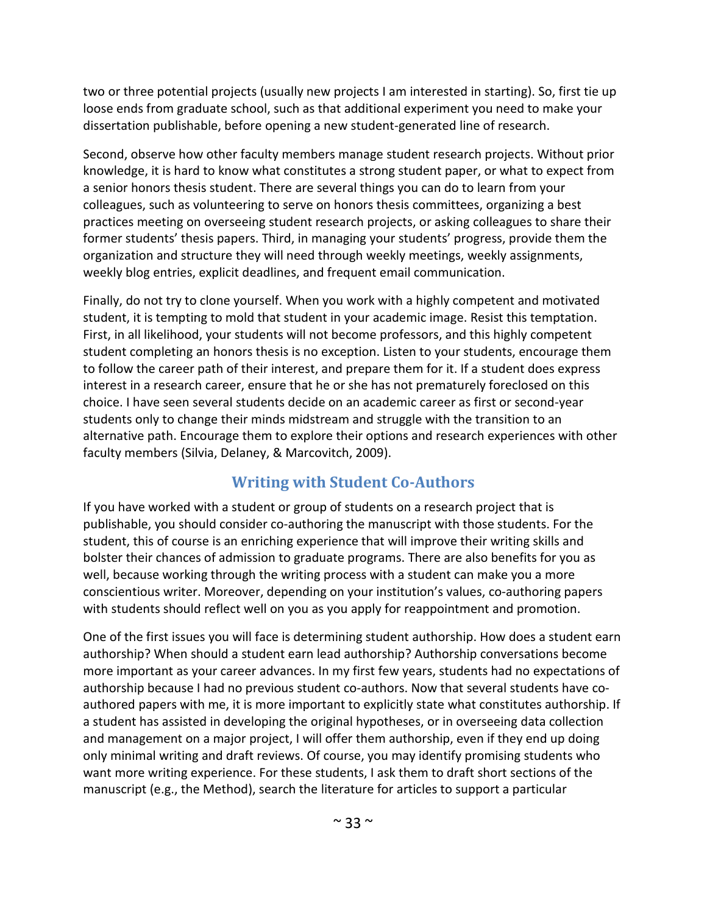two or three potential projects (usually new projects I am interested in starting). So, first tie up loose ends from graduate school, such as that additional experiment you need to make your dissertation publishable, before opening a new student-generated line of research.

Second, observe how other faculty members manage student research projects. Without prior knowledge, it is hard to know what constitutes a strong student paper, or what to expect from a senior honors thesis student. There are several things you can do to learn from your colleagues, such as volunteering to serve on honors thesis committees, organizing a best practices meeting on overseeing student research projects, or asking colleagues to share their former students' thesis papers. Third, in managing your students' progress, provide them the organization and structure they will need through weekly meetings, weekly assignments, weekly blog entries, explicit deadlines, and frequent email communication.

Finally, do not try to clone yourself. When you work with a highly competent and motivated student, it is tempting to mold that student in your academic image. Resist this temptation. First, in all likelihood, your students will not become professors, and this highly competent student completing an honors thesis is no exception. Listen to your students, encourage them to follow the career path of their interest, and prepare them for it. If a student does express interest in a research career, ensure that he or she has not prematurely foreclosed on this choice. I have seen several students decide on an academic career as first or second-year students only to change their minds midstream and struggle with the transition to an alternative path. Encourage them to explore their options and research experiences with other faculty members (Silvia, Delaney, & Marcovitch, 2009).

## **Writing with Student Co-Authors**

If you have worked with a student or group of students on a research project that is publishable, you should consider co-authoring the manuscript with those students. For the student, this of course is an enriching experience that will improve their writing skills and bolster their chances of admission to graduate programs. There are also benefits for you as well, because working through the writing process with a student can make you a more conscientious writer. Moreover, depending on your institution's values, co-authoring papers with students should reflect well on you as you apply for reappointment and promotion.

One of the first issues you will face is determining student authorship. How does a student earn authorship? When should a student earn lead authorship? Authorship conversations become more important as your career advances. In my first few years, students had no expectations of authorship because I had no previous student co-authors. Now that several students have coauthored papers with me, it is more important to explicitly state what constitutes authorship. If a student has assisted in developing the original hypotheses, or in overseeing data collection and management on a major project, I will offer them authorship, even if they end up doing only minimal writing and draft reviews. Of course, you may identify promising students who want more writing experience. For these students, I ask them to draft short sections of the manuscript (e.g., the Method), search the literature for articles to support a particular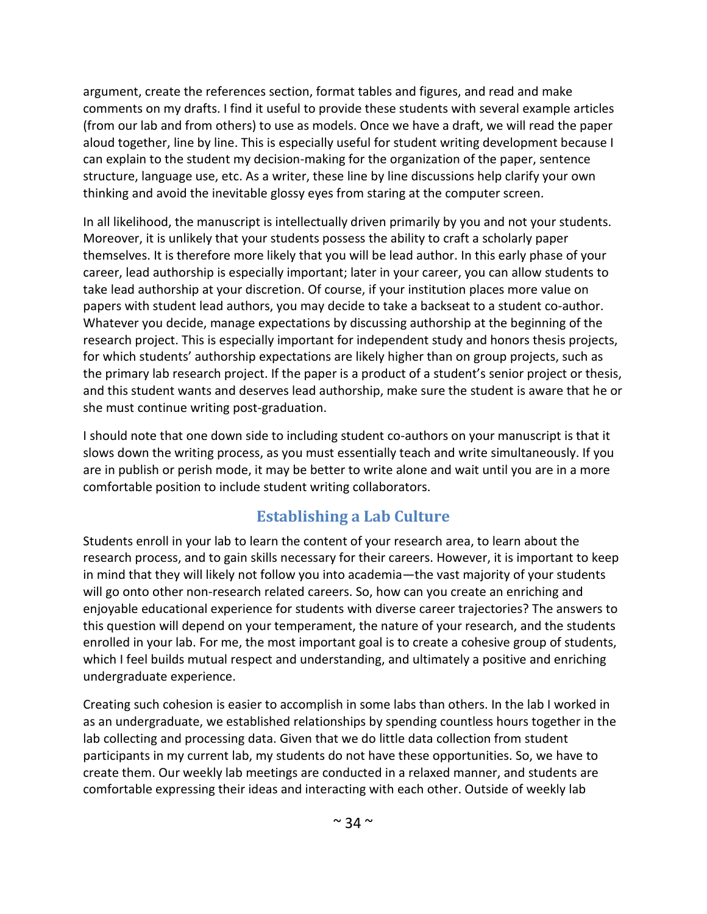argument, create the references section, format tables and figures, and read and make comments on my drafts. I find it useful to provide these students with several example articles (from our lab and from others) to use as models. Once we have a draft, we will read the paper aloud together, line by line. This is especially useful for student writing development because I can explain to the student my decision-making for the organization of the paper, sentence structure, language use, etc. As a writer, these line by line discussions help clarify your own thinking and avoid the inevitable glossy eyes from staring at the computer screen.

In all likelihood, the manuscript is intellectually driven primarily by you and not your students. Moreover, it is unlikely that your students possess the ability to craft a scholarly paper themselves. It is therefore more likely that you will be lead author. In this early phase of your career, lead authorship is especially important; later in your career, you can allow students to take lead authorship at your discretion. Of course, if your institution places more value on papers with student lead authors, you may decide to take a backseat to a student co-author. Whatever you decide, manage expectations by discussing authorship at the beginning of the research project. This is especially important for independent study and honors thesis projects, for which students' authorship expectations are likely higher than on group projects, such as the primary lab research project. If the paper is a product of a student's senior project or thesis, and this student wants and deserves lead authorship, make sure the student is aware that he or she must continue writing post-graduation.

I should note that one down side to including student co-authors on your manuscript is that it slows down the writing process, as you must essentially teach and write simultaneously. If you are in publish or perish mode, it may be better to write alone and wait until you are in a more comfortable position to include student writing collaborators.

## **Establishing a Lab Culture**

Students enroll in your lab to learn the content of your research area, to learn about the research process, and to gain skills necessary for their careers. However, it is important to keep in mind that they will likely not follow you into academia—the vast majority of your students will go onto other non-research related careers. So, how can you create an enriching and enjoyable educational experience for students with diverse career trajectories? The answers to this question will depend on your temperament, the nature of your research, and the students enrolled in your lab. For me, the most important goal is to create a cohesive group of students, which I feel builds mutual respect and understanding, and ultimately a positive and enriching undergraduate experience.

Creating such cohesion is easier to accomplish in some labs than others. In the lab I worked in as an undergraduate, we established relationships by spending countless hours together in the lab collecting and processing data. Given that we do little data collection from student participants in my current lab, my students do not have these opportunities. So, we have to create them. Our weekly lab meetings are conducted in a relaxed manner, and students are comfortable expressing their ideas and interacting with each other. Outside of weekly lab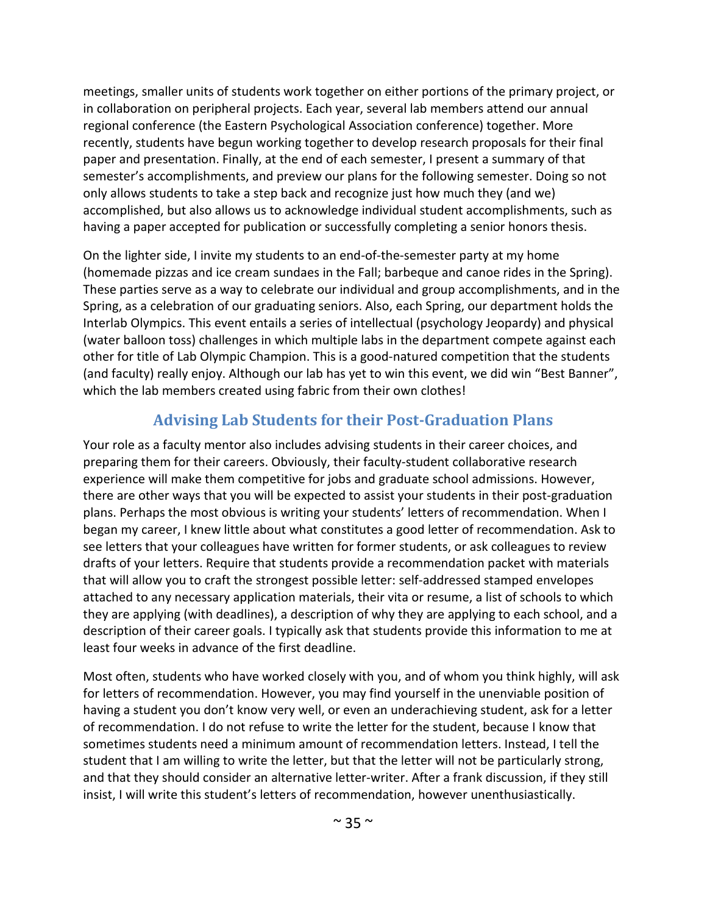meetings, smaller units of students work together on either portions of the primary project, or in collaboration on peripheral projects. Each year, several lab members attend our annual regional conference (the Eastern Psychological Association conference) together. More recently, students have begun working together to develop research proposals for their final paper and presentation. Finally, at the end of each semester, I present a summary of that semester's accomplishments, and preview our plans for the following semester. Doing so not only allows students to take a step back and recognize just how much they (and we) accomplished, but also allows us to acknowledge individual student accomplishments, such as having a paper accepted for publication or successfully completing a senior honors thesis.

On the lighter side, I invite my students to an end-of-the-semester party at my home (homemade pizzas and ice cream sundaes in the Fall; barbeque and canoe rides in the Spring). These parties serve as a way to celebrate our individual and group accomplishments, and in the Spring, as a celebration of our graduating seniors. Also, each Spring, our department holds the Interlab Olympics. This event entails a series of intellectual (psychology Jeopardy) and physical (water balloon toss) challenges in which multiple labs in the department compete against each other for title of Lab Olympic Champion. This is a good-natured competition that the students (and faculty) really enjoy. Although our lab has yet to win this event, we did win "Best Banner", which the lab members created using fabric from their own clothes!

# **Advising Lab Students for their Post-Graduation Plans**

Your role as a faculty mentor also includes advising students in their career choices, and preparing them for their careers. Obviously, their faculty-student collaborative research experience will make them competitive for jobs and graduate school admissions. However, there are other ways that you will be expected to assist your students in their post-graduation plans. Perhaps the most obvious is writing your students' letters of recommendation. When I began my career, I knew little about what constitutes a good letter of recommendation. Ask to see letters that your colleagues have written for former students, or ask colleagues to review drafts of your letters. Require that students provide a recommendation packet with materials that will allow you to craft the strongest possible letter: self-addressed stamped envelopes attached to any necessary application materials, their vita or resume, a list of schools to which they are applying (with deadlines), a description of why they are applying to each school, and a description of their career goals. I typically ask that students provide this information to me at least four weeks in advance of the first deadline.

Most often, students who have worked closely with you, and of whom you think highly, will ask for letters of recommendation. However, you may find yourself in the unenviable position of having a student you don't know very well, or even an underachieving student, ask for a letter of recommendation. I do not refuse to write the letter for the student, because I know that sometimes students need a minimum amount of recommendation letters. Instead, I tell the student that I am willing to write the letter, but that the letter will not be particularly strong, and that they should consider an alternative letter-writer. After a frank discussion, if they still insist, I will write this student's letters of recommendation, however unenthusiastically.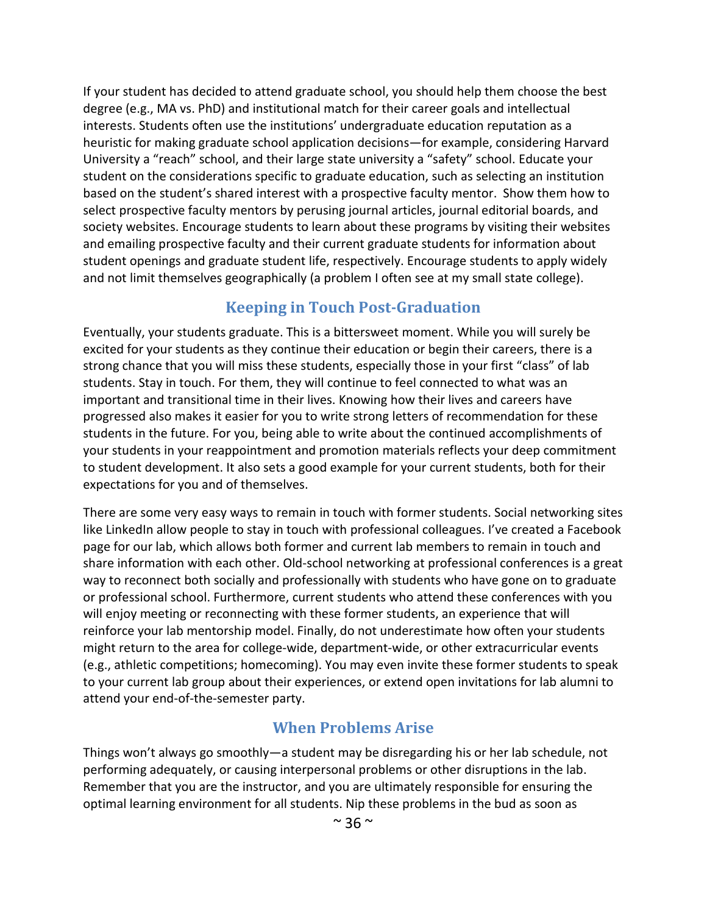If your student has decided to attend graduate school, you should help them choose the best degree (e.g., MA vs. PhD) and institutional match for their career goals and intellectual interests. Students often use the institutions' undergraduate education reputation as a heuristic for making graduate school application decisions—for example, considering Harvard University a "reach" school, and their large state university a "safety" school. Educate your student on the considerations specific to graduate education, such as selecting an institution based on the student's shared interest with a prospective faculty mentor. Show them how to select prospective faculty mentors by perusing journal articles, journal editorial boards, and society websites. Encourage students to learn about these programs by visiting their websites and emailing prospective faculty and their current graduate students for information about student openings and graduate student life, respectively. Encourage students to apply widely and not limit themselves geographically (a problem I often see at my small state college).

#### **Keeping in Touch Post-Graduation**

Eventually, your students graduate. This is a bittersweet moment. While you will surely be excited for your students as they continue their education or begin their careers, there is a strong chance that you will miss these students, especially those in your first "class" of lab students. Stay in touch. For them, they will continue to feel connected to what was an important and transitional time in their lives. Knowing how their lives and careers have progressed also makes it easier for you to write strong letters of recommendation for these students in the future. For you, being able to write about the continued accomplishments of your students in your reappointment and promotion materials reflects your deep commitment to student development. It also sets a good example for your current students, both for their expectations for you and of themselves.

There are some very easy ways to remain in touch with former students. Social networking sites like LinkedIn allow people to stay in touch with professional colleagues. I've created a Facebook page for our lab, which allows both former and current lab members to remain in touch and share information with each other. Old-school networking at professional conferences is a great way to reconnect both socially and professionally with students who have gone on to graduate or professional school. Furthermore, current students who attend these conferences with you will enjoy meeting or reconnecting with these former students, an experience that will reinforce your lab mentorship model. Finally, do not underestimate how often your students might return to the area for college-wide, department-wide, or other extracurricular events (e.g., athletic competitions; homecoming). You may even invite these former students to speak to your current lab group about their experiences, or extend open invitations for lab alumni to attend your end-of-the-semester party.

## **When Problems Arise**

Things won't always go smoothly—a student may be disregarding his or her lab schedule, not performing adequately, or causing interpersonal problems or other disruptions in the lab. Remember that you are the instructor, and you are ultimately responsible for ensuring the optimal learning environment for all students. Nip these problems in the bud as soon as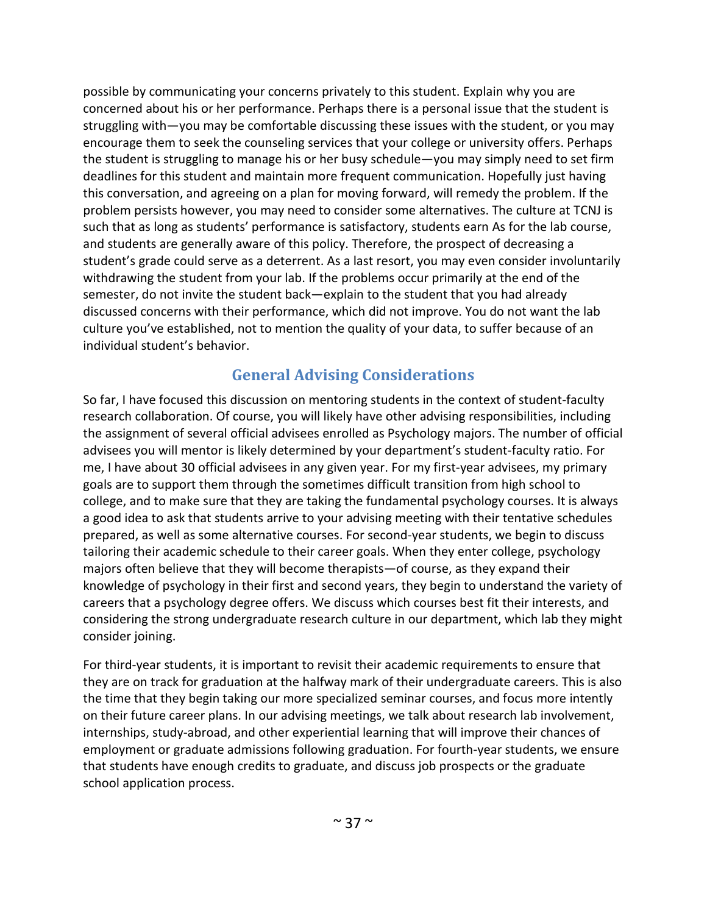possible by communicating your concerns privately to this student. Explain why you are concerned about his or her performance. Perhaps there is a personal issue that the student is struggling with—you may be comfortable discussing these issues with the student, or you may encourage them to seek the counseling services that your college or university offers. Perhaps the student is struggling to manage his or her busy schedule—you may simply need to set firm deadlines for this student and maintain more frequent communication. Hopefully just having this conversation, and agreeing on a plan for moving forward, will remedy the problem. If the problem persists however, you may need to consider some alternatives. The culture at TCNJ is such that as long as students' performance is satisfactory, students earn As for the lab course, and students are generally aware of this policy. Therefore, the prospect of decreasing a student's grade could serve as a deterrent. As a last resort, you may even consider involuntarily withdrawing the student from your lab. If the problems occur primarily at the end of the semester, do not invite the student back—explain to the student that you had already discussed concerns with their performance, which did not improve. You do not want the lab culture you've established, not to mention the quality of your data, to suffer because of an individual student's behavior.

#### **General Advising Considerations**

So far, I have focused this discussion on mentoring students in the context of student-faculty research collaboration. Of course, you will likely have other advising responsibilities, including the assignment of several official advisees enrolled as Psychology majors. The number of official advisees you will mentor is likely determined by your department's student-faculty ratio. For me, I have about 30 official advisees in any given year. For my first-year advisees, my primary goals are to support them through the sometimes difficult transition from high school to college, and to make sure that they are taking the fundamental psychology courses. It is always a good idea to ask that students arrive to your advising meeting with their tentative schedules prepared, as well as some alternative courses. For second-year students, we begin to discuss tailoring their academic schedule to their career goals. When they enter college, psychology majors often believe that they will become therapists—of course, as they expand their knowledge of psychology in their first and second years, they begin to understand the variety of careers that a psychology degree offers. We discuss which courses best fit their interests, and considering the strong undergraduate research culture in our department, which lab they might consider joining.

For third-year students, it is important to revisit their academic requirements to ensure that they are on track for graduation at the halfway mark of their undergraduate careers. This is also the time that they begin taking our more specialized seminar courses, and focus more intently on their future career plans. In our advising meetings, we talk about research lab involvement, internships, study-abroad, and other experiential learning that will improve their chances of employment or graduate admissions following graduation. For fourth-year students, we ensure that students have enough credits to graduate, and discuss job prospects or the graduate school application process.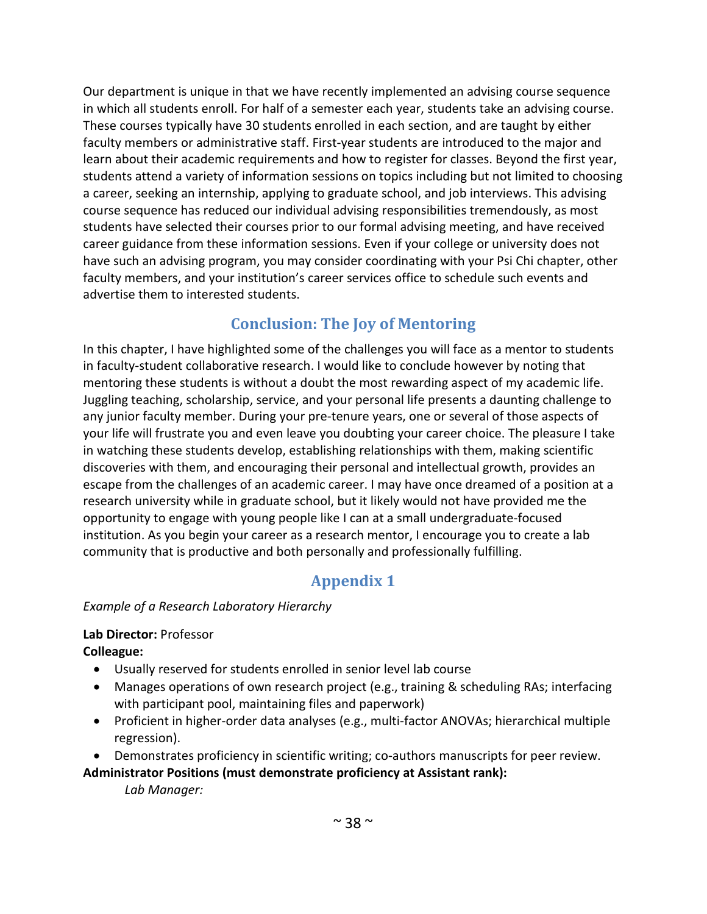Our department is unique in that we have recently implemented an advising course sequence in which all students enroll. For half of a semester each year, students take an advising course. These courses typically have 30 students enrolled in each section, and are taught by either faculty members or administrative staff. First-year students are introduced to the major and learn about their academic requirements and how to register for classes. Beyond the first year, students attend a variety of information sessions on topics including but not limited to choosing a career, seeking an internship, applying to graduate school, and job interviews. This advising course sequence has reduced our individual advising responsibilities tremendously, as most students have selected their courses prior to our formal advising meeting, and have received career guidance from these information sessions. Even if your college or university does not have such an advising program, you may consider coordinating with your Psi Chi chapter, other faculty members, and your institution's career services office to schedule such events and advertise them to interested students.

# **Conclusion: The Joy of Mentoring**

In this chapter, I have highlighted some of the challenges you will face as a mentor to students in faculty-student collaborative research. I would like to conclude however by noting that mentoring these students is without a doubt the most rewarding aspect of my academic life. Juggling teaching, scholarship, service, and your personal life presents a daunting challenge to any junior faculty member. During your pre-tenure years, one or several of those aspects of your life will frustrate you and even leave you doubting your career choice. The pleasure I take in watching these students develop, establishing relationships with them, making scientific discoveries with them, and encouraging their personal and intellectual growth, provides an escape from the challenges of an academic career. I may have once dreamed of a position at a research university while in graduate school, but it likely would not have provided me the opportunity to engage with young people like I can at a small undergraduate-focused institution. As you begin your career as a research mentor, I encourage you to create a lab community that is productive and both personally and professionally fulfilling.

# **Appendix 1**

#### *Example of a Research Laboratory Hierarchy*

#### **Lab Director:** Professor

**Colleague:**

- Usually reserved for students enrolled in senior level lab course
- Manages operations of own research project (e.g., training & scheduling RAs; interfacing with participant pool, maintaining files and paperwork)
- Proficient in higher-order data analyses (e.g., multi-factor ANOVAs; hierarchical multiple regression).
- Demonstrates proficiency in scientific writing; co-authors manuscripts for peer review.

#### **Administrator Positions (must demonstrate proficiency at Assistant rank):**

*Lab Manager:*